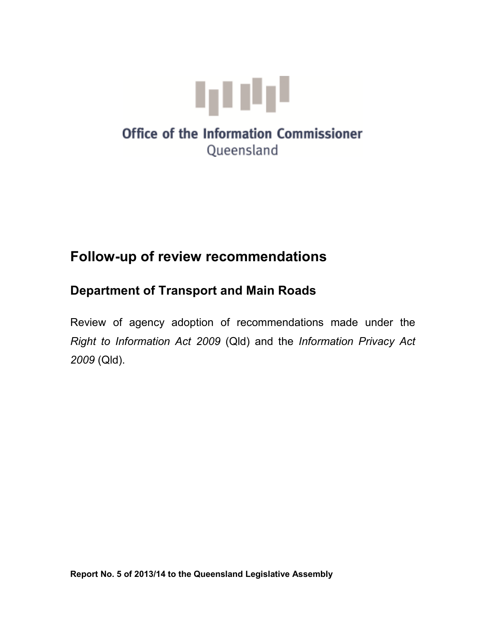

# **Office of the Information Commissioner** Queensland

# **Follow-up of review recommendations**

## **Department of Transport and Main Roads**

Review of agency adoption of recommendations made under the *Right to Information Act 2009* (Qld) and the *Information Privacy Act 2009* (Qld).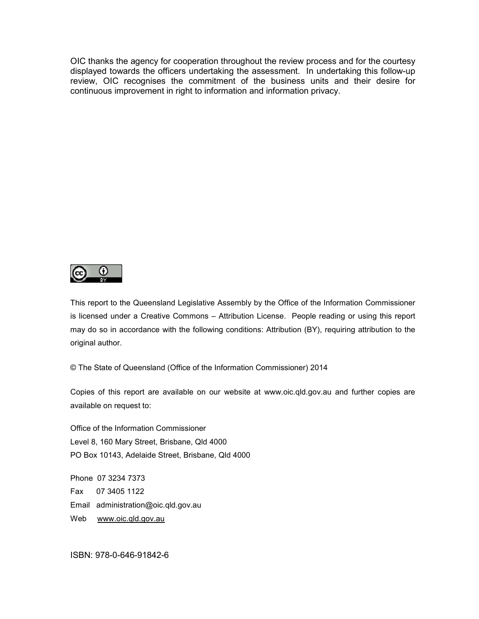OIC thanks the agency for cooperation throughout the review process and for the courtesy displayed towards the officers undertaking the assessment. In undertaking this follow-up review, OIC recognises the commitment of the business units and their desire for continuous improvement in right to information and information privacy.



This report to the Queensland Legislative Assembly by the Office of the Information Commissioner is licensed under a Creative Commons – Attribution License. People reading or using this report may do so in accordance with the following conditions: Attribution (BY), requiring attribution to the original author.

© The State of Queensland (Office of the Information Commissioner) 2014

Copies of this report are available on our website at www.oic.qld.gov.au and further copies are available on request to:

Office of the Information Commissioner Level 8, 160 Mary Street, Brisbane, Qld 4000 PO Box 10143, Adelaide Street, Brisbane, Qld 4000

Phone 07 3234 7373 Fax 07 3405 1122 Email administration@oic.qld.gov.au Web www.oic.qld.gov.au

ISBN: 978-0-646-91842-6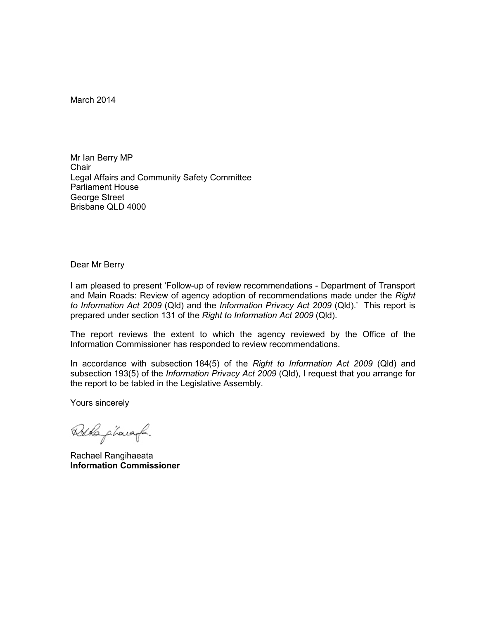March 2014

Mr Ian Berry MP **Chair** Legal Affairs and Community Safety Committee Parliament House George Street Brisbane QLD 4000

Dear Mr Berry

I am pleased to present 'Follow-up of review recommendations - Department of Transport and Main Roads: Review of agency adoption of recommendations made under the *Right to Information Act 2009* (Qld) and the *Information Privacy Act 2009* (Qld).' This report is prepared under section 131 of the *Right to Information Act 2009* (Qld).

The report reviews the extent to which the agency reviewed by the Office of the Information Commissioner has responded to review recommendations.

In accordance with subsection 184(5) of the *Right to Information Act 2009* (Qld) and subsection 193(5) of the *Information Privacy Act 2009* (Qld), I request that you arrange for the report to be tabled in the Legislative Assembly.

Yours sincerely

Burb pharaof.

Rachael Rangihaeata **Information Commissioner**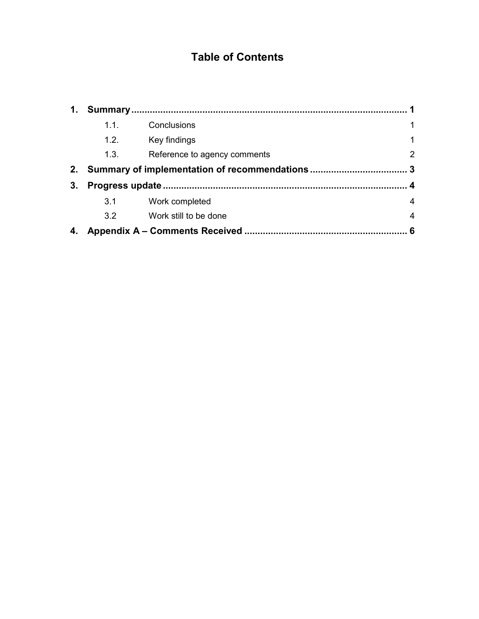### **Table of Contents**

| 1. |      |                              |                |  |
|----|------|------------------------------|----------------|--|
|    | 1.1. | Conclusions                  | $\mathbf{1}$   |  |
|    | 1.2. | Key findings                 | 1              |  |
|    | 1.3. | Reference to agency comments | $\overline{2}$ |  |
| 2. |      |                              |                |  |
| 3. |      |                              |                |  |
|    | 3.1  | Work completed               | 4              |  |
|    | 3.2  | Work still to be done        | $\overline{4}$ |  |
| 4. |      |                              | 6              |  |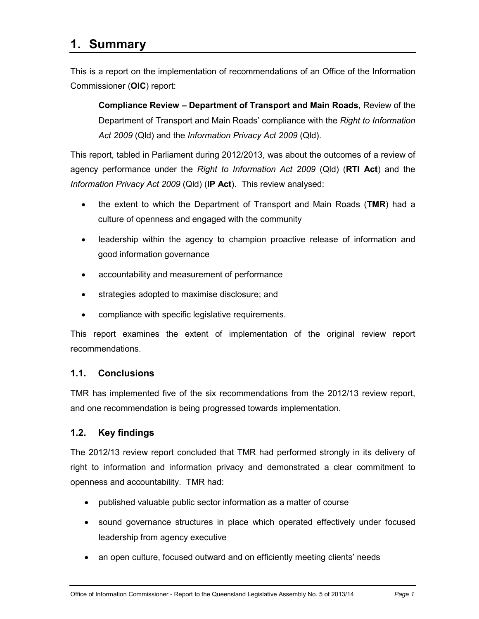### **1. Summary**

This is a report on the implementation of recommendations of an Office of the Information Commissioner (**OIC**) report:

**Compliance Review – Department of Transport and Main Roads,** Review of the Department of Transport and Main Roads' compliance with the *Right to Information Act 2009* (Qld) and the *Information Privacy Act 2009* (Qld).

This report, tabled in Parliament during 2012/2013, was about the outcomes of a review of agency performance under the *Right to Information Act 2009* (Qld) (**RTI Act**) and the *Information Privacy Act 2009* (Qld) (**IP Act**). This review analysed:

- the extent to which the Department of Transport and Main Roads (**TMR**) had a culture of openness and engaged with the community
- leadership within the agency to champion proactive release of information and good information governance
- accountability and measurement of performance
- strategies adopted to maximise disclosure; and
- compliance with specific legislative requirements.

This report examines the extent of implementation of the original review report recommendations.

#### **1.1. Conclusions**

TMR has implemented five of the six recommendations from the 2012/13 review report, and one recommendation is being progressed towards implementation.

#### **1.2. Key findings**

The 2012/13 review report concluded that TMR had performed strongly in its delivery of right to information and information privacy and demonstrated a clear commitment to openness and accountability. TMR had:

- published valuable public sector information as a matter of course
- sound governance structures in place which operated effectively under focused leadership from agency executive
- an open culture, focused outward and on efficiently meeting clients' needs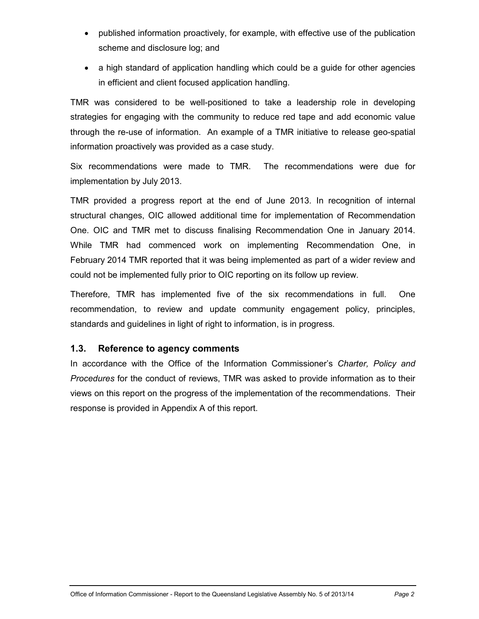- published information proactively, for example, with effective use of the publication scheme and disclosure log; and
- a high standard of application handling which could be a guide for other agencies in efficient and client focused application handling.

TMR was considered to be well-positioned to take a leadership role in developing strategies for engaging with the community to reduce red tape and add economic value through the re-use of information. An example of a TMR initiative to release geo-spatial information proactively was provided as a case study.

Six recommendations were made to TMR. The recommendations were due for implementation by July 2013.

TMR provided a progress report at the end of June 2013. In recognition of internal structural changes, OIC allowed additional time for implementation of Recommendation One. OIC and TMR met to discuss finalising Recommendation One in January 2014. While TMR had commenced work on implementing Recommendation One, in February 2014 TMR reported that it was being implemented as part of a wider review and could not be implemented fully prior to OIC reporting on its follow up review.

Therefore, TMR has implemented five of the six recommendations in full. One recommendation, to review and update community engagement policy, principles, standards and guidelines in light of right to information, is in progress.

#### **1.3. Reference to agency comments**

In accordance with the Office of the Information Commissioner's *Charter, Policy and Procedures* for the conduct of reviews, TMR was asked to provide information as to their views on this report on the progress of the implementation of the recommendations. Their response is provided in Appendix A of this report.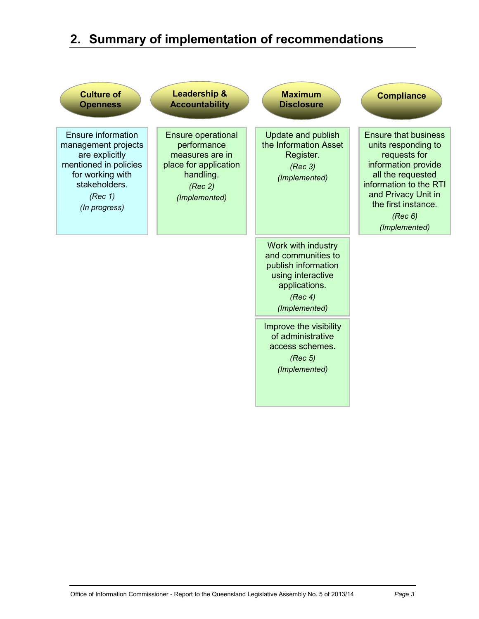# **2. Summary of implementation of recommendations**

| <b>Culture of</b><br><b>Openness</b>                                                                                                                  | <b>Leadership &amp;</b><br><b>Accountability</b>                                                                              | <b>Maximum</b><br><b>Disclosure</b>                                                                                               | <b>Compliance</b>                                                                                                                                                                                                  |
|-------------------------------------------------------------------------------------------------------------------------------------------------------|-------------------------------------------------------------------------------------------------------------------------------|-----------------------------------------------------------------------------------------------------------------------------------|--------------------------------------------------------------------------------------------------------------------------------------------------------------------------------------------------------------------|
| Ensure information<br>management projects<br>are explicitly<br>mentioned in policies<br>for working with<br>stakeholders.<br>(Rec 1)<br>(In progress) | <b>Ensure operational</b><br>performance<br>measures are in<br>place for application<br>handling.<br>(Rec 2)<br>(Implemented) | <b>Update and publish</b><br>the Information Asset<br>Register.<br>(Rec 3)<br>(Implemented)                                       | <b>Ensure that business</b><br>units responding to<br>requests for<br>information provide<br>all the requested<br>information to the RTI<br>and Privacy Unit in<br>the first instance.<br>(Rec 6)<br>(Implemented) |
|                                                                                                                                                       |                                                                                                                               | Work with industry<br>and communities to<br>publish information<br>using interactive<br>applications.<br>(Rec 4)<br>(Implemented) |                                                                                                                                                                                                                    |
|                                                                                                                                                       |                                                                                                                               | Improve the visibility<br>of administrative<br>access schemes.<br>(Rec 5)<br>(Implemented)                                        |                                                                                                                                                                                                                    |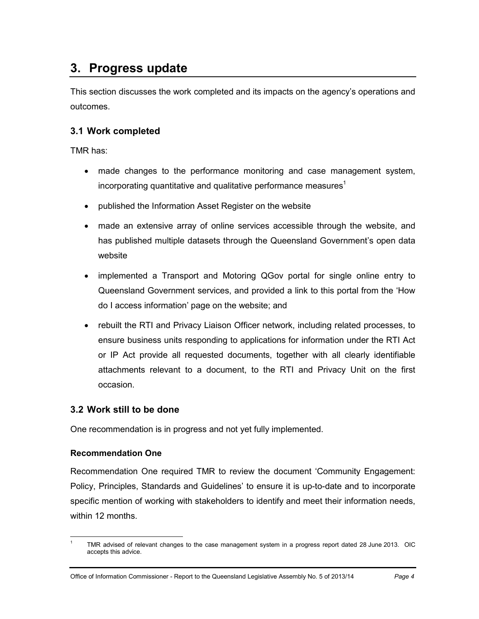## **3. Progress update**

This section discusses the work completed and its impacts on the agency's operations and outcomes.

#### **3.1 Work completed**

TMR has:

- made changes to the performance monitoring and case management system, incorporating quantitative and qualitative performance measures<sup>1</sup>
- published the Information Asset Register on the website
- made an extensive array of online services accessible through the website, and has published multiple datasets through the Queensland Government's open data website
- implemented a Transport and Motoring QGov portal for single online entry to Queensland Government services, and provided a link to this portal from the 'How do I access information' page on the website; and
- rebuilt the RTI and Privacy Liaison Officer network, including related processes, to ensure business units responding to applications for information under the RTI Act or IP Act provide all requested documents, together with all clearly identifiable attachments relevant to a document, to the RTI and Privacy Unit on the first occasion.

#### **3.2 Work still to be done**

One recommendation is in progress and not yet fully implemented.

#### **Recommendation One**

 $\overline{a}$ 

Recommendation One required TMR to review the document 'Community Engagement: Policy, Principles, Standards and Guidelines' to ensure it is up-to-date and to incorporate specific mention of working with stakeholders to identify and meet their information needs, within 12 months.

<sup>1</sup> TMR advised of relevant changes to the case management system in a progress report dated 28 June 2013. OIC accepts this advice.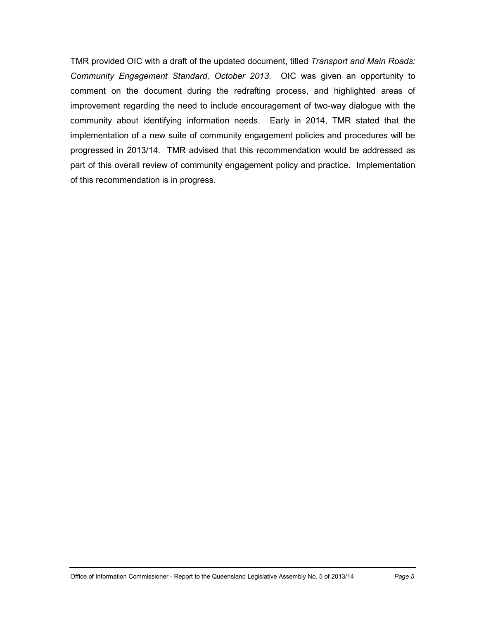TMR provided OIC with a draft of the updated document, titled *Transport and Main Roads: Community Engagement Standard, October 2013*. OIC was given an opportunity to comment on the document during the redrafting process, and highlighted areas of improvement regarding the need to include encouragement of two-way dialogue with the community about identifying information needs. Early in 2014, TMR stated that the implementation of a new suite of community engagement policies and procedures will be progressed in 2013/14. TMR advised that this recommendation would be addressed as part of this overall review of community engagement policy and practice. Implementation of this recommendation is in progress.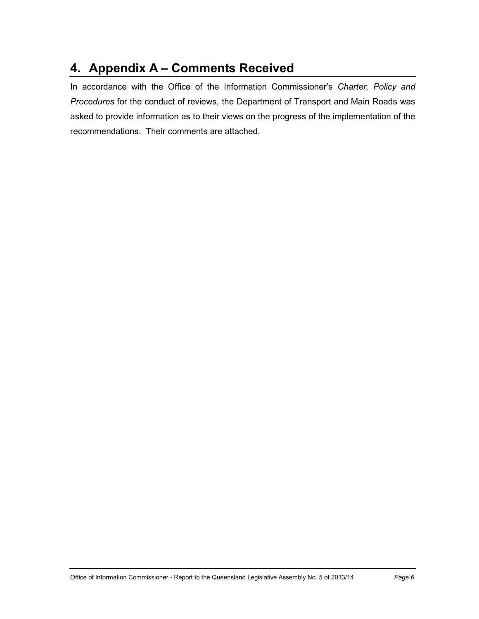## **4. Appendix A – Comments Received**

In accordance with the Office of the Information Commissioner's *Charter, Policy and Procedures* for the conduct of reviews, the Department of Transport and Main Roads was asked to provide information as to their views on the progress of the implementation of the recommendations. Their comments are attached.